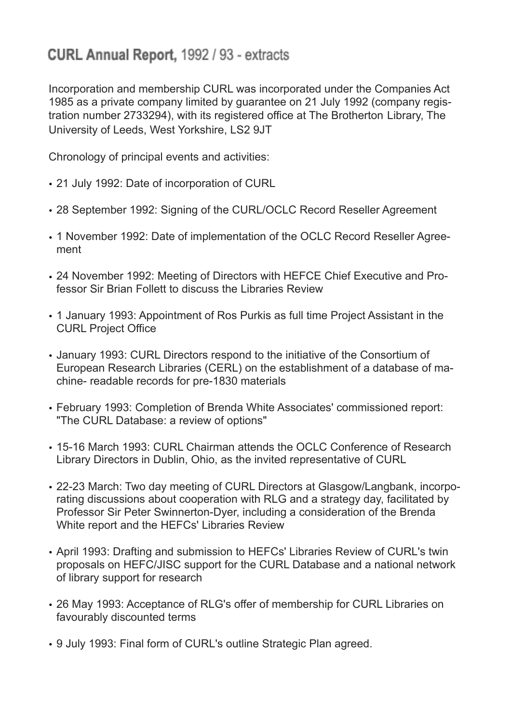## CURL Annual Report, 1992 / 93 - extracts

Incorporation and membership CURL was incorporated under the Companies Act 1985 as a private company limited by guarantee on 21 July 1992 (company registration number 2733294), with its registered office at The Brotherton Library, The University of Leeds, West Yorkshire, LS2 9JT

Chronology of principal events and activities:

- 21 July 1992: Date of incorporation of CURL
- 28 September 1992: Signing of the CURL/OCLC Record Reseller Agreement
- 1 November 1992: Date of implementation of the OCLC Record Reseller Agreement
- 24 November 1992: Meeting of Directors with HEFCE Chief Executive and Professor Sir Brian Follett to discuss the Libraries Review
- 1 January 1993: Appointment of Ros Purkis as full time Project Assistant in the CURL Project Office
- January 1993: CURL Directors respond to the initiative of the Consortium of European Research Libraries (CERL) on the establishment of a database of machine- readable records for pre-1830 materials
- February 1993: Completion of Brenda White Associates' commissioned report: "The CURL Database: a review of options"
- 15-16 March 1993: CURL Chairman attends the OCLC Conference of Research Library Directors in Dublin, Ohio, as the invited representative of CURL
- 22-23 March: Two day meeting of CURL Directors at Glasgow/Langbank, incorporating discussions about cooperation with RLG and a strategy day, facilitated by Professor Sir Peter Swinnerton-Dyer, including a consideration of the Brenda White report and the HEFCs' Libraries Review
- April 1993: Drafting and submission to HEFCs' Libraries Review of CURL's twin proposals on HEFC/JISC support for the CURL Database and a national network of library support for research
- 26 May 1993: Acceptance of RLG's offer of membership for CURL Libraries on favourably discounted terms
- 9 July 1993: Final form of CURL's outline Strategic Plan agreed.